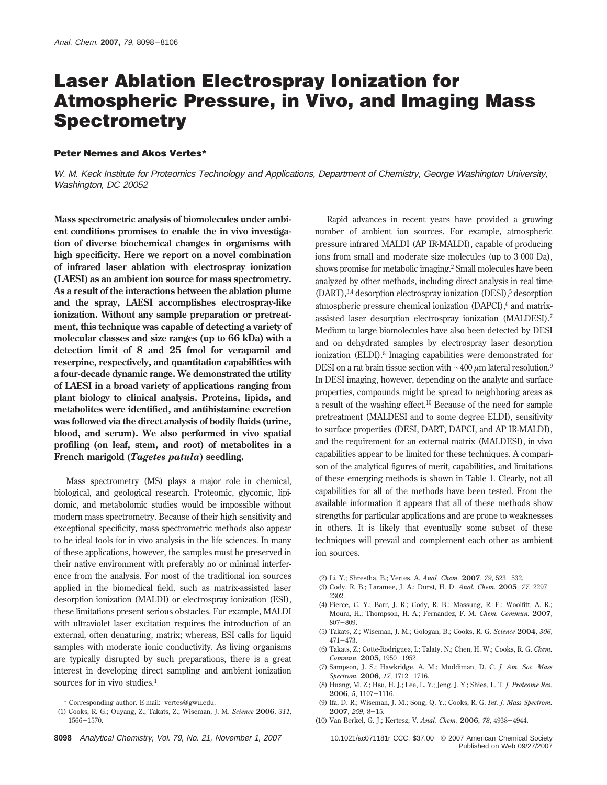# **Laser Ablation Electrospray Ionization for Atmospheric Pressure, in Vivo, and Imaging Mass Spectrometry**

### **Peter Nemes and Akos Vertes\***

W. M. Keck Institute for Proteomics Technology and Applications, Department of Chemistry, George Washington University, Washington, DC 20052

**Mass spectrometric analysis of biomolecules under ambient conditions promises to enable the in vivo investigation of diverse biochemical changes in organisms with high specificity. Here we report on a novel combination of infrared laser ablation with electrospray ionization (LAESI) as an ambient ion source for mass spectrometry. As a result of the interactions between the ablation plume and the spray, LAESI accomplishes electrospray-like ionization. Without any sample preparation or pretreatment, this technique was capable of detecting a variety of molecular classes and size ranges (up to 66 kDa) with a detection limit of 8 and 25 fmol for verapamil and reserpine, respectively, and quantitation capabilities with a four-decade dynamic range. We demonstrated the utility of LAESI in a broad variety of applications ranging from plant biology to clinical analysis. Proteins, lipids, and metabolites were identified, and antihistamine excretion was followed via the direct analysis of bodily fluids (urine, blood, and serum). We also performed in vivo spatial profiling (on leaf, stem, and root) of metabolites in a French marigold (***Tagetes patula***) seedling.**

Mass spectrometry (MS) plays a major role in chemical, biological, and geological research. Proteomic, glycomic, lipidomic, and metabolomic studies would be impossible without modern mass spectrometry. Because of their high sensitivity and exceptional specificity, mass spectrometric methods also appear to be ideal tools for in vivo analysis in the life sciences. In many of these applications, however, the samples must be preserved in their native environment with preferably no or minimal interference from the analysis. For most of the traditional ion sources applied in the biomedical field, such as matrix-assisted laser desorption ionization (MALDI) or electrospray ionization (ESI), these limitations present serious obstacles. For example, MALDI with ultraviolet laser excitation requires the introduction of an external, often denaturing, matrix; whereas, ESI calls for liquid samples with moderate ionic conductivity. As living organisms are typically disrupted by such preparations, there is a great interest in developing direct sampling and ambient ionization sources for in vivo studies.<sup>1</sup>

Rapid advances in recent years have provided a growing number of ambient ion sources. For example, atmospheric pressure infrared MALDI (AP IR-MALDI), capable of producing ions from small and moderate size molecules (up to 3 000 Da), shows promise for metabolic imaging.<sup>2</sup> Small molecules have been analyzed by other methods, including direct analysis in real time  $(DART),<sup>3,4</sup>$  desorption electrospray ionization  $(DESI),<sup>5</sup>$  desorption atmospheric pressure chemical ionization (DAPCI),<sup>6</sup> and matrixassisted laser desorption electrospray ionization (MALDESI).7 Medium to large biomolecules have also been detected by DESI and on dehydrated samples by electrospray laser desorption ionization (ELDI).8 Imaging capabilities were demonstrated for DESI on a rat brain tissue section with ∼400 *µ*m lateral resolution.<sup>9</sup> In DESI imaging, however, depending on the analyte and surface properties, compounds might be spread to neighboring areas as a result of the washing effect.10 Because of the need for sample pretreatment (MALDESI and to some degree ELDI), sensitivity to surface properties (DESI, DART, DAPCI, and AP IR-MALDI), and the requirement for an external matrix (MALDESI), in vivo capabilities appear to be limited for these techniques. A comparison of the analytical figures of merit, capabilities, and limitations of these emerging methods is shown in Table 1. Clearly, not all capabilities for all of the methods have been tested. From the available information it appears that all of these methods show strengths for particular applications and are prone to weaknesses in others. It is likely that eventually some subset of these techniques will prevail and complement each other as ambient ion sources.

- (2) Li, Y.; Shrestha, B.; Vertes, A. *Anal. Chem.* **<sup>2007</sup>**, *<sup>79</sup>*, 523-532.
- (3) Cody, R. B.; Laramee, J. A.; Durst, H. D. *Anal. Chem.* **<sup>2005</sup>**, *<sup>77</sup>*, 2297- 2302.
- (4) Pierce, C. Y.; Barr, J. R.; Cody, R. B.; Massung, R. F.; Woolfitt, A. R.; Moura, H.; Thompson, H. A.; Fernandez, F. M. *Chem. Commun.* **2007**, <sup>807</sup>-809.
- (5) Takats, Z.; Wiseman, J. M.; Gologan, B.; Cooks, R. G. *Science* **2004**, *306*, <sup>471</sup>-473.
- (6) Takats, Z.; Cotte-Rodriguez, I.; Talaty, N.; Chen, H. W.; Cooks, R. G. *Chem. Commun.* **<sup>2005</sup>**, 1950-1952.
- (7) Sampson, J. S.; Hawkridge, A. M.; Muddiman, D. C. *J. Am. Soc. Mass Spectrom.* **<sup>2006</sup>**, *<sup>17</sup>*, 1712-1716.
- (8) Huang, M. Z.; Hsu, H. J.; Lee, L. Y.; Jeng, J. Y.; Shiea, L. T. *J. Proteome Res.* **<sup>2006</sup>**, *<sup>5</sup>*, 1107-1116.
- (9) Ifa, D. R.; Wiseman, J. M.; Song, Q. Y.; Cooks, R. G. *Int. J. Mass Spectrom.* **<sup>2007</sup>**, *<sup>259</sup>*, 8-15.
- (10) Van Berkel, G. J.; Kertesz, V. *Anal. Chem.* **<sup>2006</sup>**, *<sup>78</sup>*, 4938-4944.

<sup>\*</sup> Corresponding author. E-mail: vertes@gwu.edu.

<sup>(1)</sup> Cooks, R. G.; Ouyang, Z.; Takats, Z.; Wiseman, J. M. *Science* **2006**, *311*, <sup>1566</sup>-1570.

<sup>8098</sup> Analytical Chemistry, Vol. 79, No. 21, November 1, 2007 10.1021/ac071181r CCC: \$37.00 © 2007 American Chemical Society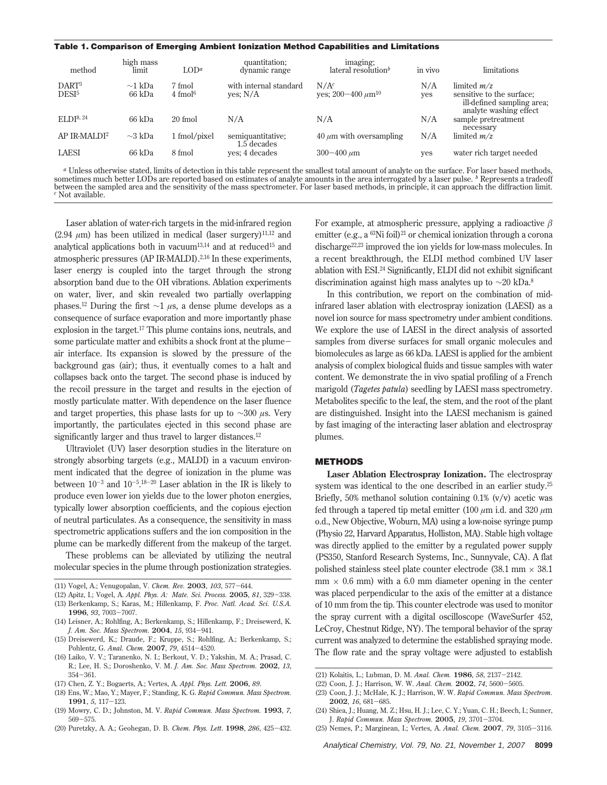#### **Table 1. Comparison of Emerging Ambient Ionization Method Capabilities and Limitations**

| method                                 | high mass<br>limit     | $LOD^a$                      | quantitation;<br>dynamic range     | imaging:<br>lateral resolution <sup>b</sup> | in vivo    | <i>limitations</i>                                                                                 |
|----------------------------------------|------------------------|------------------------------|------------------------------------|---------------------------------------------|------------|----------------------------------------------------------------------------------------------------|
| DART <sup>3</sup><br>DESI <sup>5</sup> | $\sim$ 1 kDa<br>66 kDa | 7 fmol<br>$4 \text{ fmol}^6$ | with internal standard<br>ves: N/A | $N/A^c$<br>yes; $200-400 \ \mu m^{10}$      | N/A<br>yes | limited $m/z$<br>sensitive to the surface;<br>ill-defined sampling area;<br>analyte washing effect |
| ELD[8, 24]                             | 66 kDa                 | 20 fmol                      | N/A                                | N/A                                         | N/A        | sample pretreatment<br>necessary                                                                   |
| AP IR-MALDI <sup>2</sup>               | $\sim$ 3 kDa           | 1 fmol/pixel                 | semiquantitative;<br>1.5 decades   | $40 \mu m$ with oversampling                | N/A        | limited $m/z$                                                                                      |
| <b>LAESI</b>                           | 66 kDa                 | 8 fmol                       | yes; 4 decades                     | $300 - 400 \mu m$                           | yes        | water rich target needed                                                                           |

*<sup>a</sup>* Unless otherwise stated, limits of detection in this table represent the smallest total amount of analyte on the surface. For laser based methods, sometimes much better LODs are reported based on estimates of analyte amounts in the area interrogated by a laser pulse. *b* Represents a tradeoff between the sampled area and the sensitivity of the mass spectrometer. For laser based methods, in principle, it can approach the diffraction limit. *<sup>c</sup>* Not available.

Laser ablation of water-rich targets in the mid-infrared region  $(2.94 \mu m)$  has been utilized in medical (laser surgery)<sup>11,12</sup> and analytical applications both in vacuum $^{13,14}$  and at reduced<sup>15</sup> and atmospheric pressures (AP IR-MALDI).2,16 In these experiments, laser energy is coupled into the target through the strong absorption band due to the OH vibrations. Ablation experiments on water, liver, and skin revealed two partially overlapping phases.12 During the first ∼1 *µ*s, a dense plume develops as a consequence of surface evaporation and more importantly phase explosion in the target.17 This plume contains ions, neutrals, and some particulate matter and exhibits a shock front at the plumeair interface. Its expansion is slowed by the pressure of the background gas (air); thus, it eventually comes to a halt and collapses back onto the target. The second phase is induced by the recoil pressure in the target and results in the ejection of mostly particulate matter. With dependence on the laser fluence and target properties, this phase lasts for up to ∼300 *µ*s. Very importantly, the particulates ejected in this second phase are significantly larger and thus travel to larger distances.<sup>12</sup>

Ultraviolet (UV) laser desorption studies in the literature on strongly absorbing targets (e.g., MALDI) in a vacuum environment indicated that the degree of ionization in the plume was between  $10^{-3}$  and  $10^{-5}$ .<sup>18-20</sup> Laser ablation in the IR is likely to produce even lower ion yields due to the lower photon energies, typically lower absorption coefficients, and the copious ejection of neutral particulates. As a consequence, the sensitivity in mass spectrometric applications suffers and the ion composition in the plume can be markedly different from the makeup of the target.

These problems can be alleviated by utilizing the neutral molecular species in the plume through postionization strategies.

- (12) Apitz, I.; Vogel, A. *Appl. Phys. A: Mate. Sci. Process.* **<sup>2005</sup>**, *<sup>81</sup>*, 329-338.
- (13) Berkenkamp, S.; Karas, M.; Hillenkamp, F. *Proc. Natl. Acad. Sci. U.S.A.* **<sup>1996</sup>**, *<sup>93</sup>*, 7003-7007.
- (14) Leisner, A.; Rohlfing, A.; Berkenkamp, S.; Hillenkamp, F.; Dreisewerd, K. *J. Am. Soc. Mass Spectrom.* **<sup>2004</sup>**, *<sup>15</sup>*, 934-941.
- (15) Dreisewerd, K.; Draude, F.; Kruppe, S.; Rohlfing, A.; Berkenkamp, S.; Pohlentz, G. *Anal. Chem.* **<sup>2007</sup>**, *<sup>79</sup>*, 4514-4520.
- (16) Laiko, V. V.; Taranenko, N. I.; Berkout, V. D.; Yakshin, M. A.; Prasad, C. R.; Lee, H. S.; Doroshenko, V. M. *J. Am. Soc. Mass Spectrom.* **2002**, *13*, <sup>354</sup>-361.

- (18) Ens, W.; Mao, Y.; Mayer, F.; Standing, K. G. *Rapid Commun. Mass Spectrom.* **<sup>1991</sup>**, *<sup>5</sup>*, 117-123.
- (19) Mowry, C. D.; Johnston, M. V. *Rapid Commun. Mass Spectrom.* **1993**, *7*, <sup>569</sup>-575.
- (20) Puretzky, A. A.; Geohegan, D. B. *Chem. Phys. Lett*. **<sup>1998</sup>**, *<sup>286</sup>*, 425-432.

For example, at atmospheric pressure, applying a radioactive *â* emitter (e.g., a  $63$ Ni foil)<sup>21</sup> or chemical ionization through a corona discharge22,23 improved the ion yields for low-mass molecules. In a recent breakthrough, the ELDI method combined UV laser ablation with ESI.24 Significantly, ELDI did not exhibit significant discrimination against high mass analytes up to ∼20 kDa.8

In this contribution, we report on the combination of midinfrared laser ablation with electrospray ionization (LAESI) as a novel ion source for mass spectrometry under ambient conditions. We explore the use of LAESI in the direct analysis of assorted samples from diverse surfaces for small organic molecules and biomolecules as large as 66 kDa. LAESI is applied for the ambient analysis of complex biological fluids and tissue samples with water content. We demonstrate the in vivo spatial profiling of a French marigold (*Tagetes patula*) seedling by LAESI mass spectrometry. Metabolites specific to the leaf, the stem, and the root of the plant are distinguished. Insight into the LAESI mechanism is gained by fast imaging of the interacting laser ablation and electrospray plumes.

### **METHODS**

**Laser Ablation Electrospray Ionization.** The electrospray system was identical to the one described in an earlier study.<sup>25</sup> Briefly, 50% methanol solution containing 0.1% (v/v) acetic was fed through a tapered tip metal emitter (100 *µ*m i.d. and 320 *µ*m o.d., New Objective, Woburn, MA) using a low-noise syringe pump (Physio 22, Harvard Apparatus, Holliston, MA). Stable high voltage was directly applied to the emitter by a regulated power supply (PS350, Stanford Research Systems, Inc., Sunnyvale, CA). A flat polished stainless steel plate counter electrode (38.1 mm  $\times$  38.1  $mm \times 0.6$  mm) with a 6.0 mm diameter opening in the center was placed perpendicular to the axis of the emitter at a distance of 10 mm from the tip. This counter electrode was used to monitor the spray current with a digital oscilloscope (WaveSurfer 452, LeCroy, Chestnut Ridge, NY). The temporal behavior of the spray current was analyzed to determine the established spraying mode. The flow rate and the spray voltage were adjusted to establish

<sup>(11)</sup> Vogel, A.; Venugopalan, V. *Chem. Rev.* **<sup>2003</sup>**, *<sup>103</sup>*, 577-644.

<sup>(17)</sup> Chen, Z. Y.; Bogaerts, A.; Vertes, A. *Appl. Phys. Lett.* **2006**, *89*.

<sup>(21)</sup> Kolaitis, L.; Lubman, D. M. *Anal. Chem.* **<sup>1986</sup>**, *<sup>58</sup>*, 2137-2142.

<sup>(22)</sup> Coon, J. J.; Harrison, W. W. *Anal. Chem.* **<sup>2002</sup>**, *<sup>74</sup>*, 5600-5605.

<sup>(23)</sup> Coon, J. J.; McHale, K. J.; Harrison, W. W. *Rapid Commun. Mass Spectrom.* **<sup>2002</sup>**, *<sup>16</sup>*, 681-685.

<sup>(24)</sup> Shiea, J.; Huang, M. Z.; Hsu, H. J.; Lee, C. Y.; Yuan, C. H.; Beech, I.; Sunner, J. *Rapid Commun. Mass Spectrom.* **<sup>2005</sup>**, *<sup>19</sup>*, 3701-3704.

<sup>(25)</sup> Nemes, P.; Marginean, I.; Vertes, A. *Anal. Chem.* **<sup>2007</sup>**, *<sup>79</sup>*, 3105-3116.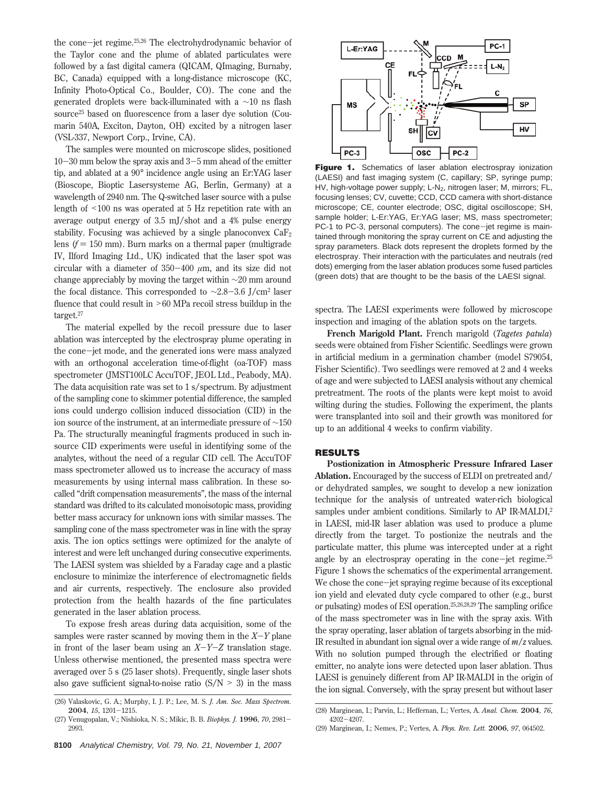the cone-jet regime.25,26 The electrohydrodynamic behavior of the Taylor cone and the plume of ablated particulates were followed by a fast digital camera (QICAM, QImaging, Burnaby, BC, Canada) equipped with a long-distance microscope (KC, Infinity Photo-Optical Co., Boulder, CO). The cone and the generated droplets were back-illuminated with a ∼10 ns flash source<sup>25</sup> based on fluorescence from a laser dye solution (Coumarin 540A, Exciton, Dayton, OH) excited by a nitrogen laser (VSL-337, Newport Corp., Irvine, CA).

The samples were mounted on microscope slides, positioned  $10-30$  mm below the spray axis and  $3-5$  mm ahead of the emitter tip, and ablated at a 90° incidence angle using an Er:YAG laser (Bioscope, Bioptic Lasersysteme AG, Berlin, Germany) at a wavelength of 2940 nm. The Q-switched laser source with a pulse length of <100 ns was operated at 5 Hz repetition rate with an average output energy of 3.5 mJ/shot and a 4% pulse energy stability. Focusing was achieved by a single planoconvex  $CaF<sub>2</sub>$ lens  $(f = 150 \text{ mm})$ . Burn marks on a thermal paper (multigrade IV, Ilford Imaging Ltd., UK) indicated that the laser spot was circular with a diameter of 350-<sup>400</sup> *<sup>µ</sup>*m, and its size did not change appreciably by moving the target within ∼20 mm around the focal distance. This corresponded to  $\sim$ 2.8-3.6 J/cm<sup>2</sup> laser fluence that could result in >60 MPa recoil stress buildup in the target.27

The material expelled by the recoil pressure due to laser ablation was intercepted by the electrospray plume operating in the cone-jet mode, and the generated ions were mass analyzed with an orthogonal acceleration time-of-flight (oa-TOF) mass spectrometer (JMST100LC AccuTOF, JEOL Ltd., Peabody, MA). The data acquisition rate was set to 1 s/spectrum. By adjustment of the sampling cone to skimmer potential difference, the sampled ions could undergo collision induced dissociation (CID) in the ion source of the instrument, at an intermediate pressure of ∼150 Pa. The structurally meaningful fragments produced in such insource CID experiments were useful in identifying some of the analytes, without the need of a regular CID cell. The AccuTOF mass spectrometer allowed us to increase the accuracy of mass measurements by using internal mass calibration. In these socalled "drift compensation measurements", the mass of the internal standard was drifted to its calculated monoisotopic mass, providing better mass accuracy for unknown ions with similar masses. The sampling cone of the mass spectrometer was in line with the spray axis. The ion optics settings were optimized for the analyte of interest and were left unchanged during consecutive experiments. The LAESI system was shielded by a Faraday cage and a plastic enclosure to minimize the interference of electromagnetic fields and air currents, respectively. The enclosure also provided protection from the health hazards of the fine particulates generated in the laser ablation process.

To expose fresh areas during data acquisition, some of the samples were raster scanned by moving them in the  $X-Y$  plane in front of the laser beam using an *<sup>X</sup>*-*Y*-*<sup>Z</sup>* translation stage. Unless otherwise mentioned, the presented mass spectra were averaged over 5 s (25 laser shots). Frequently, single laser shots also gave sufficient signal-to-noise ratio  $(S/N > 3)$  in the mass



**Figure 1.** Schematics of laser ablation electrospray ionization (LAESI) and fast imaging system (C, capillary; SP, syringe pump; HV, high-voltage power supply; L-N<sub>2</sub>, nitrogen laser; M, mirrors; FL, focusing lenses; CV, cuvette; CCD, CCD camera with short-distance microscope; CE, counter electrode; OSC, digital oscilloscope; SH, sample holder; L-Er:YAG, Er:YAG laser; MS, mass spectrometer; PC-1 to PC-3, personal computers). The cone-jet regime is maintained through monitoring the spray current on CE and adjusting the spray parameters. Black dots represent the droplets formed by the electrospray. Their interaction with the particulates and neutrals (red dots) emerging from the laser ablation produces some fused particles (green dots) that are thought to be the basis of the LAESI signal.

spectra. The LAESI experiments were followed by microscope inspection and imaging of the ablation spots on the targets.

**French Marigold Plant.** French marigold (*Tagetes patula*) seeds were obtained from Fisher Scientific. Seedlings were grown in artificial medium in a germination chamber (model S79054, Fisher Scientific). Two seedlings were removed at 2 and 4 weeks of age and were subjected to LAESI analysis without any chemical pretreatment. The roots of the plants were kept moist to avoid wilting during the studies. Following the experiment, the plants were transplanted into soil and their growth was monitored for up to an additional 4 weeks to confirm viability.

## **RESULTS**

**Postionization in Atmospheric Pressure Infrared Laser Ablation.** Encouraged by the success of ELDI on pretreated and/ or dehydrated samples, we sought to develop a new ionization technique for the analysis of untreated water-rich biological samples under ambient conditions. Similarly to AP IR-MALDI,<sup>2</sup> in LAESI, mid-IR laser ablation was used to produce a plume directly from the target. To postionize the neutrals and the particulate matter, this plume was intercepted under at a right angle by an electrospray operating in the cone-jet regime.<sup>25</sup> Figure 1 shows the schematics of the experimental arrangement. We chose the cone-jet spraying regime because of its exceptional ion yield and elevated duty cycle compared to other (e.g., burst or pulsating) modes of ESI operation.25,26,28,29 The sampling orifice of the mass spectrometer was in line with the spray axis. With the spray operating, laser ablation of targets absorbing in the mid-IR resulted in abundant ion signal over a wide range of *m*/*z* values. With no solution pumped through the electrified or floating emitter, no analyte ions were detected upon laser ablation. Thus LAESI is genuinely different from AP IR-MALDI in the origin of the ion signal. Conversely, with the spray present but without laser

<sup>(26)</sup> Valaskovic, G. A.; Murphy, I. J. P.; Lee, M. S. *J. Am. Soc. Mass Spectrom.* **<sup>2004</sup>**, *<sup>15</sup>*, 1201-1215.

<sup>(27)</sup> Venugopalan, V.; Nishioka, N. S.; Mikic, B. B. *Biophys. J.* **<sup>1996</sup>**, *<sup>70</sup>*, 2981- 2993.

<sup>(28)</sup> Marginean, I.; Parvin, L.; Heffernan, L.; Vertes, A. *Anal. Chem.* **2004***, 76*, <sup>4202</sup>-4207*.*

<sup>(29)</sup> Marginean, I.; Nemes, P.; Vertes, A. *Phys. Rev. Lett.* **2006**, *97*, 064502.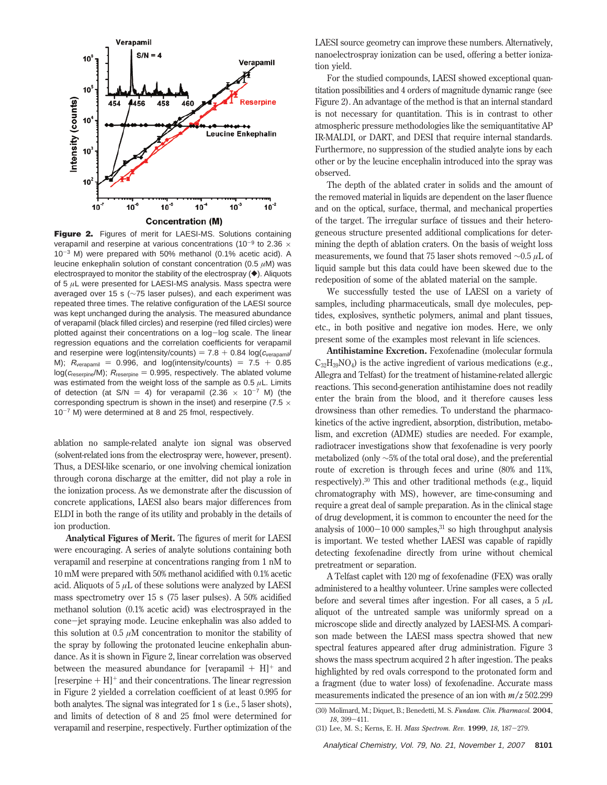

**Figure 2.** Figures of merit for LAESI-MS. Solutions containing verapamil and reserpine at various concentrations (10<sup>-9</sup> to 2.36  $\times$  $10^{-3}$  M) were prepared with 50% methanol (0.1% acetic acid). A leucine enkephalin solution of constant concentration (0.5 *µ*M) was electrosprayed to monitor the stability of the electrospray  $(\blacklozenge)$ . Aliquots of 5 *µ*L were presented for LAESI-MS analysis. Mass spectra were averaged over 15 s (∼75 laser pulses), and each experiment was repeated three times. The relative configuration of the LAESI source was kept unchanged during the analysis. The measured abundance of verapamil (black filled circles) and reserpine (red filled circles) were plotted against their concentrations on a log-log scale. The linear regression equations and the correlation coefficients for verapamil and reserpine were log(intensity/counts) =  $7.8 + 0.84 \log(c_{\text{vera}}$ M);  $R_{\text{verapamil}} = 0.996$ , and log(intensity/counts) =  $7.5 + 0.85$  $log(c_{resenpine}/M)$ ;  $R_{resenpine} = 0.995$ , respectively. The ablated volume was estimated from the weight loss of the sample as 0.5 *µ*L. Limits of detection (at S/N = 4) for verapamil (2.36  $\times$  10<sup>-7</sup> M) (the corresponding spectrum is shown in the inset) and reserpine (7.5  $\times$  $10^{-7}$  M) were determined at 8 and 25 fmol, respectively.

ablation no sample-related analyte ion signal was observed (solvent-related ions from the electrospray were, however, present). Thus, a DESI-like scenario, or one involving chemical ionization through corona discharge at the emitter, did not play a role in the ionization process. As we demonstrate after the discussion of concrete applications, LAESI also bears major differences from ELDI in both the range of its utility and probably in the details of ion production.

**Analytical Figures of Merit.** The figures of merit for LAESI were encouraging. A series of analyte solutions containing both verapamil and reserpine at concentrations ranging from 1 nM to 10 mM were prepared with 50% methanol acidified with 0.1% acetic acid. Aliquots of 5 *µ*L of these solutions were analyzed by LAESI mass spectrometry over 15 s (75 laser pulses). A 50% acidified methanol solution (0.1% acetic acid) was electrosprayed in the cone-jet spraying mode. Leucine enkephalin was also added to this solution at  $0.5 \mu M$  concentration to monitor the stability of the spray by following the protonated leucine enkephalin abundance. As it is shown in Figure 2, linear correlation was observed between the measured abundance for [verapamil +  $H$ ]<sup>+</sup> and  $[reserpine + H]$ <sup>+</sup> and their concentrations. The linear regression in Figure 2 yielded a correlation coefficient of at least 0.995 for both analytes. The signal was integrated for 1 s (i.e., 5 laser shots), and limits of detection of 8 and 25 fmol were determined for verapamil and reserpine, respectively. Further optimization of the

LAESI source geometry can improve these numbers. Alternatively, nanoelectrospray ionization can be used, offering a better ionization yield.

For the studied compounds, LAESI showed exceptional quantitation possibilities and 4 orders of magnitude dynamic range (see Figure 2). An advantage of the method is that an internal standard is not necessary for quantitation. This is in contrast to other atmospheric pressure methodologies like the semiquantitative AP IR-MALDI, or DART, and DESI that require internal standards. Furthermore, no suppression of the studied analyte ions by each other or by the leucine encephalin introduced into the spray was observed.

The depth of the ablated crater in solids and the amount of the removed material in liquids are dependent on the laser fluence and on the optical, surface, thermal, and mechanical properties of the target. The irregular surface of tissues and their heterogeneous structure presented additional complications for determining the depth of ablation craters. On the basis of weight loss measurements, we found that 75 laser shots removed ∼0.5 *µ*L of liquid sample but this data could have been skewed due to the redeposition of some of the ablated material on the sample.

We successfully tested the use of LAESI on a variety of samples, including pharmaceuticals, small dye molecules, peptides, explosives, synthetic polymers, animal and plant tissues, etc., in both positive and negative ion modes. Here, we only present some of the examples most relevant in life sciences.

**Antihistamine Excretion.** Fexofenadine (molecular formula  $C_{32}H_{39}NO_4$ ) is the active ingredient of various medications (e.g., Allegra and Telfast) for the treatment of histamine-related allergic reactions. This second-generation antihistamine does not readily enter the brain from the blood, and it therefore causes less drowsiness than other remedies. To understand the pharmacokinetics of the active ingredient, absorption, distribution, metabolism, and excretion (ADME) studies are needed. For example, radiotracer investigations show that fexofenadine is very poorly metabolized (only ∼5% of the total oral dose), and the preferential route of excretion is through feces and urine (80% and 11%, respectively).30 This and other traditional methods (e.g., liquid chromatography with MS), however, are time-consuming and require a great deal of sample preparation. As in the clinical stage of drug development, it is common to encounter the need for the analysis of  $1000-10000$  samples, $31$  so high throughput analysis is important. We tested whether LAESI was capable of rapidly detecting fexofenadine directly from urine without chemical pretreatment or separation.

A Telfast caplet with 120 mg of fexofenadine (FEX) was orally administered to a healthy volunteer. Urine samples were collected before and several times after ingestion. For all cases, a 5 *µ*L aliquot of the untreated sample was uniformly spread on a microscope slide and directly analyzed by LAESI-MS. A comparison made between the LAESI mass spectra showed that new spectral features appeared after drug administration. Figure 3 shows the mass spectrum acquired 2 h after ingestion. The peaks highlighted by red ovals correspond to the protonated form and a fragment (due to water loss) of fexofenadine. Accurate mass measurements indicated the presence of an ion with *m*/*z* 502.299

<sup>(30)</sup> Molimard, M.; Diquet, B.; Benedetti, M. S. *Fundam. Clin. Pharmacol.* **2004**, *<sup>18</sup>*, 399-411.

<sup>(31)</sup> Lee, M. S.; Kerns, E. H. *Mass Spectrom. Rev.* **<sup>1999</sup>**, *<sup>18</sup>*, 187-279.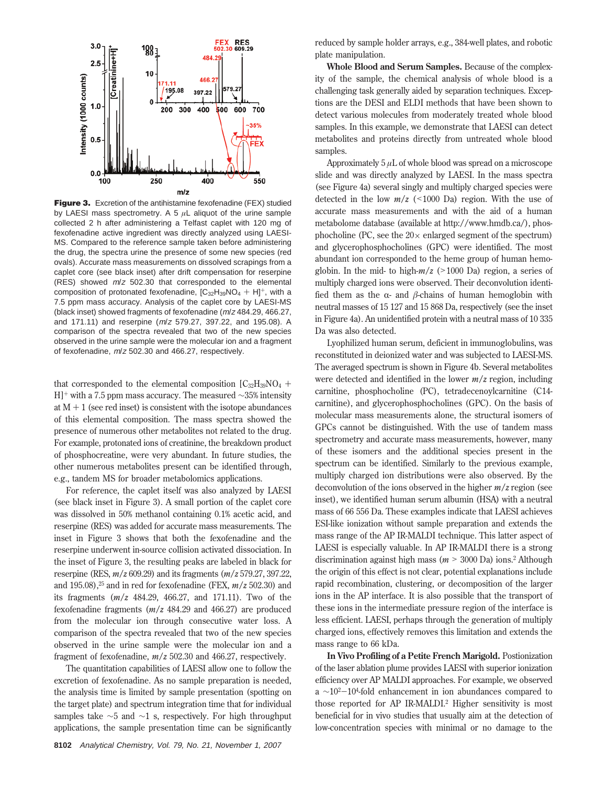

**Figure 3.** Excretion of the antihistamine fexofenadine (FEX) studied by LAESI mass spectrometry. A 5 *µ*L aliquot of the urine sample collected 2 h after administering a Telfast caplet with 120 mg of fexofenadine active ingredient was directly analyzed using LAESI-MS. Compared to the reference sample taken before administering the drug, the spectra urine the presence of some new species (red ovals). Accurate mass measurements on dissolved scrapings from a caplet core (see black inset) after drift compensation for reserpine (RES) showed  $m/z$  502.30 that corresponded to the elemental composition of protonated fexofenadine,  $[C_{32}H_{39}NO_4 + H]^+$ , with a 7.5 ppm mass accuracy. Analysis of the caplet core by LAESI-MS (black inset) showed fragments of fexofenadine (m/<sup>z</sup> 484.29, 466.27, and 171.11) and reserpine (m/<sup>z</sup> 579.27, 397.22, and 195.08). A comparison of the spectra revealed that two of the new species observed in the urine sample were the molecular ion and a fragment of fexofenadine, <sup>m</sup>/<sup>z</sup> 502.30 and 466.27, respectively.

that corresponded to the elemental composition  $[C_{32}H_{39}NO_4 +$ H]<sup>+</sup> with a 7.5 ppm mass accuracy. The measured ∼35% intensity at  $M + 1$  (see red inset) is consistent with the isotope abundances of this elemental composition. The mass spectra showed the presence of numerous other metabolites not related to the drug. For example, protonated ions of creatinine, the breakdown product of phosphocreatine, were very abundant. In future studies, the other numerous metabolites present can be identified through, e.g., tandem MS for broader metabolomics applications.

For reference, the caplet itself was also analyzed by LAESI (see black inset in Figure 3). A small portion of the caplet core was dissolved in 50% methanol containing 0.1% acetic acid, and reserpine (RES) was added for accurate mass measurements. The inset in Figure 3 shows that both the fexofenadine and the reserpine underwent in-source collision activated dissociation. In the inset of Figure 3, the resulting peaks are labeled in black for reserpine (RES, *m*/*z* 609.29) and its fragments (*m*/*z* 579.27, 397.22, and 195.08),<sup>25</sup> and in red for fexofenadine (FEX,  $m/z$  502.30) and its fragments (*m*/*z* 484.29, 466.27, and 171.11). Two of the fexofenadine fragments (*m*/*z* 484.29 and 466.27) are produced from the molecular ion through consecutive water loss. A comparison of the spectra revealed that two of the new species observed in the urine sample were the molecular ion and a fragment of fexofenadine, *m*/*z* 502.30 and 466.27, respectively.

The quantitation capabilities of LAESI allow one to follow the excretion of fexofenadine. As no sample preparation is needed, the analysis time is limited by sample presentation (spotting on the target plate) and spectrum integration time that for individual samples take  $\sim$ 5 and  $\sim$ 1 s, respectively. For high throughput applications, the sample presentation time can be significantly reduced by sample holder arrays, e.g., 384-well plates, and robotic plate manipulation.

**Whole Blood and Serum Samples.** Because of the complexity of the sample, the chemical analysis of whole blood is a challenging task generally aided by separation techniques. Exceptions are the DESI and ELDI methods that have been shown to detect various molecules from moderately treated whole blood samples. In this example, we demonstrate that LAESI can detect metabolites and proteins directly from untreated whole blood samples.

Approximately 5 *µ*L of whole blood was spread on a microscope slide and was directly analyzed by LAESI. In the mass spectra (see Figure 4a) several singly and multiply charged species were detected in the low  $m/z$  (<1000 Da) region. With the use of accurate mass measurements and with the aid of a human metabolome database (available at http://www.hmdb.ca/), phosphocholine (PC, see the  $20 \times$  enlarged segment of the spectrum) and glycerophosphocholines (GPC) were identified. The most abundant ion corresponded to the heme group of human hemoglobin. In the mid- to high- $m/z$  ( $>1000$  Da) region, a series of multiply charged ions were observed. Their deconvolution identified them as the  $\alpha$ - and  $\beta$ -chains of human hemoglobin with neutral masses of 15 127 and 15 868 Da, respectively (see the inset in Figure 4a). An unidentified protein with a neutral mass of 10 335 Da was also detected.

Lyophilized human serum, deficient in immunoglobulins, was reconstituted in deionized water and was subjected to LAESI-MS. The averaged spectrum is shown in Figure 4b. Several metabolites were detected and identified in the lower *m*/*z* region, including carnitine, phosphocholine (PC), tetradecenoylcarnitine (C14 carnitine), and glycerophosphocholines (GPC). On the basis of molecular mass measurements alone, the structural isomers of GPCs cannot be distinguished. With the use of tandem mass spectrometry and accurate mass measurements, however, many of these isomers and the additional species present in the spectrum can be identified. Similarly to the previous example, multiply charged ion distributions were also observed. By the deconvolution of the ions observed in the higher *m*/*z* region (see inset), we identified human serum albumin (HSA) with a neutral mass of 66 556 Da. These examples indicate that LAESI achieves ESI-like ionization without sample preparation and extends the mass range of the AP IR-MALDI technique. This latter aspect of LAESI is especially valuable. In AP IR-MALDI there is a strong discrimination against high mass (*<sup>m</sup>* <sup>&</sup>gt; 3000 Da) ions.2 Although the origin of this effect is not clear, potential explanations include rapid recombination, clustering, or decomposition of the larger ions in the AP interface. It is also possible that the transport of these ions in the intermediate pressure region of the interface is less efficient. LAESI, perhaps through the generation of multiply charged ions, effectively removes this limitation and extends the mass range to 66 kDa.

**In Vivo Profiling of a Petite French Marigold.** Postionization of the laser ablation plume provides LAESI with superior ionization efficiency over AP MALDI approaches. For example, we observed <sup>a</sup> <sup>∼</sup>102-104-fold enhancement in ion abundances compared to those reported for AP IR-MALDI.2 Higher sensitivity is most beneficial for in vivo studies that usually aim at the detection of low-concentration species with minimal or no damage to the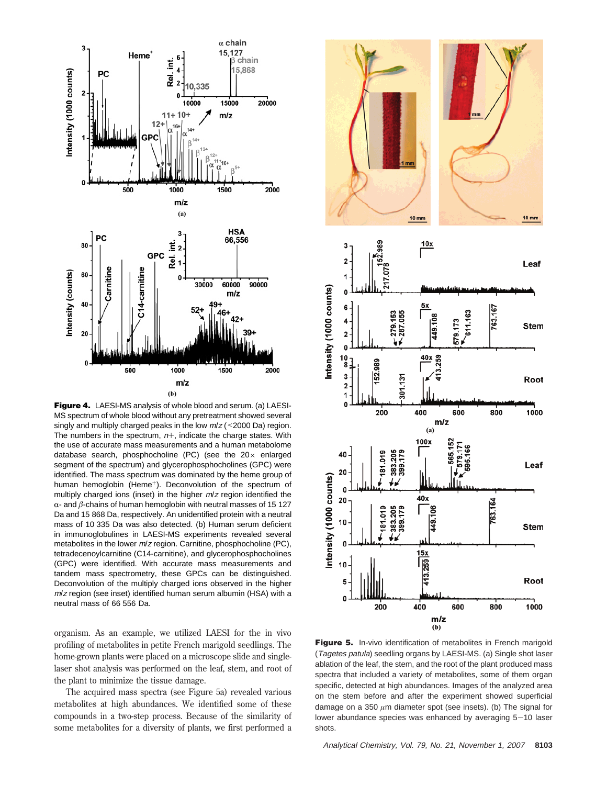

**Figure 4.** LAESI-MS analysis of whole blood and serum. (a) LAESI-MS spectrum of whole blood without any pretreatment showed several singly and multiply charged peaks in the low  $m/z$  (<2000 Da) region. The numbers in the spectrum,  $n+$ , indicate the charge states. With the use of accurate mass measurements and a human metabolome database search, phosphocholine (PC) (see the  $20\times$  enlarged segment of the spectrum) and glycerophosphocholines (GPC) were identified. The mass spectrum was dominated by the heme group of human hemoglobin (Heme<sup>+</sup>). Deconvolution of the spectrum of multiply charged ions (inset) in the higher  $m/z$  region identified the  $\alpha$ - and  $\beta$ -chains of human hemoglobin with neutral masses of 15 127 Da and 15 868 Da, respectively. An unidentified protein with a neutral mass of 10 335 Da was also detected. (b) Human serum deficient in immunoglobulines in LAESI-MS experiments revealed several metabolites in the lower  $m/z$  region. Carnitine, phosphocholine (PC), tetradecenoylcarnitine (C14-carnitine), and glycerophosphocholines (GPC) were identified. With accurate mass measurements and tandem mass spectrometry, these GPCs can be distinguished. Deconvolution of the multiply charged ions observed in the higher m/z region (see inset) identified human serum albumin (HSA) with a neutral mass of 66 556 Da.

organism. As an example, we utilized LAESI for the in vivo profiling of metabolites in petite French marigold seedlings. The home-grown plants were placed on a microscope slide and singlelaser shot analysis was performed on the leaf, stem, and root of the plant to minimize the tissue damage.

The acquired mass spectra (see Figure 5a) revealed various metabolites at high abundances. We identified some of these compounds in a two-step process. Because of the similarity of some metabolites for a diversity of plants, we first performed a



**Figure 5.** In-vivo identification of metabolites in French marigold (Tagetes patula) seedling organs by LAESI-MS. (a) Single shot laser ablation of the leaf, the stem, and the root of the plant produced mass spectra that included a variety of metabolites, some of them organ specific, detected at high abundances. Images of the analyzed area on the stem before and after the experiment showed superficial damage on a 350 *µ*m diameter spot (see insets). (b) The signal for lower abundance species was enhanced by averaging 5-10 laser shots.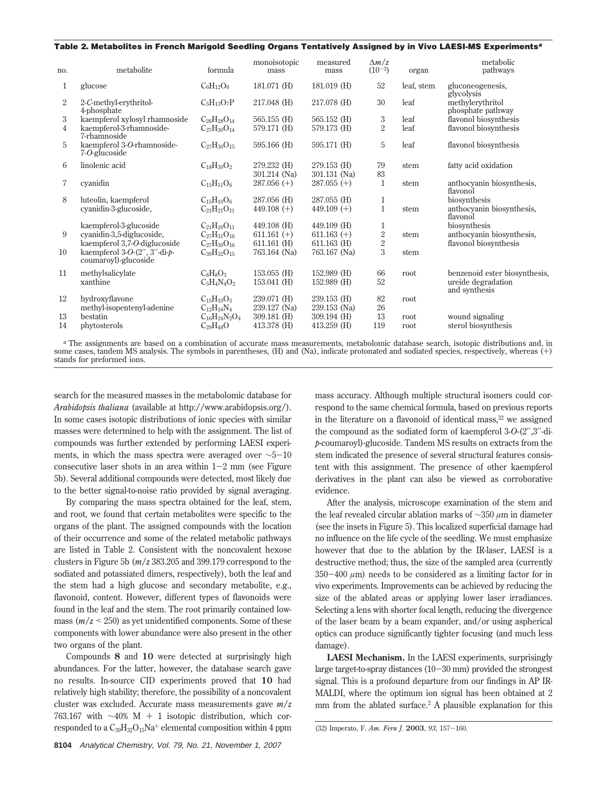#### **Table 2. Metabolites in French Marigold Seedling Organs Tentatively Assigned by in Vivo LAESI-MS Experiments<sup>a</sup>**

| no.            | metabolite                                                | formula              | monoisotopic<br>mass | measured<br>mass | $\Delta m/z$<br>$(10^{-3})$ | organ      | metabolic<br>pathways                 |
|----------------|-----------------------------------------------------------|----------------------|----------------------|------------------|-----------------------------|------------|---------------------------------------|
| 1              | glucose                                                   | $C_6H_{12}O_6$       | 181.071 (H)          | $181.019$ (H)    | 52                          | leaf, stem | gluconeogenesis,<br>glycolysis        |
| $\overline{2}$ | 2-C-methyl-erythritol-<br>4-phosphate                     | $C_5H_{13}O_7P$      | 217.048 (H)          | 217.078 (H)      | 30                          | leaf       | methylerythritol<br>phosphate pathway |
| 3              | kaempferol xylosyl rhamnoside                             | $C_{26}H_{28}O_{14}$ | 565.155 (H)          | 565.152 (H)      | 3                           | leaf       | flavonol biosynthesis                 |
| $\overline{4}$ | kaempferol-3-rhamnoside-<br>7-rhamnoside                  | $C_{27}H_{30}O_{14}$ | 579.171 (H)          | 579.173 (H)      | $\overline{2}$              | leaf       | flavonol biosynthesis                 |
| 5              | kaempferol 3-O-rhamnoside-<br>7- <i>O</i> -glucoside      | $C_{27}H_{30}O_{15}$ | 595.166 (H)          | 595.171 (H)      | 5                           | leaf       | flavonol biosynthesis                 |
| 6              | linolenic acid                                            | $C_{18}H_{30}O_2$    | 279.232 (H)          | 279.153 (H)      | 79                          | stem       | fatty acid oxidation                  |
|                |                                                           |                      | 301.214 (Na)         | 301.131 (Na)     | 83                          |            |                                       |
| 7              | cyanidin                                                  | $C_{15}H_{11}O_6$    | $287.056(+)$         | $287.055(+)$     | $\mathbf{1}$                | stem       | anthocyanin biosynthesis,<br>flavonol |
| 8              | luteolin, kaempferol                                      | $C_{15}H_{10}O_6$    | 287.056 (H)          | 287.055 (H)      | $\mathbf{1}$                |            | biosynthesis                          |
|                | cvanidin-3-glucoside.                                     | $C_{21}H_{21}O_{11}$ | $449.108 (+)$        | $449.109 (+)$    | $\mathbf{1}$                | stem       | anthocyanin biosynthesis,<br>flavonol |
|                | kaempferol-3-glucoside                                    | $C_{21}H_{20}O_{11}$ | 449.108 (H)          | 449.109 (H)      | 1                           |            | biosynthesis                          |
| 9              | cyanidin-3,5-diglucoside,                                 | $C_{27}H_{31}O_{16}$ | 611.161 $(+)$        | $611.163 (+)$    | $\,2$                       | stem       | anthocyanin biosynthesis,             |
|                | kaempferol 3,7-O-diglucoside                              | $C_{27}H_{30}O_{16}$ | $611.161$ (H)        | $611.163$ (H)    | $\overline{2}$              |            | flavonol biosynthesis                 |
| 10             | kaempferol $3-O-(2'', 3''$ -di-b-<br>coumaroyl)-glucoside | $C_{39}H_{32}O_{15}$ | 763.164 (Na)         | 763.167 (Na)     | 3                           | stem       |                                       |
| 11             | methylsalicylate                                          | $C_8H_8O_3$          | $153.055$ (H)        | 152.989 (H)      | 66                          | root       | benzenoid ester biosynthesis,         |
|                | xanthine                                                  | $C_5H_4N_4O_2$       | $153.041$ (H)        | 152.989 (H)      | 52                          |            | ureide degradation<br>and synthesis   |
| 12             | hydroxyflavone                                            | $C_{15}H_{10}O_3$    | 239.071 (H)          | 239.153 (H)      | 82                          | root       |                                       |
|                | methyl-isopentenyl-adenine                                | $C_{12}H_{16}N_4$    | 239.127 (Na)         | 239.153 (Na)     | 26                          |            |                                       |
| 13             | bestatin                                                  | $C_{16}H_{24}N_2O_4$ | 309.181 (H)          | $309.194$ (H)    | 13                          | root       | wound signaling                       |
| 14             | phytosterols                                              | $C_{29}H_{48}O$      | 413.378 (H)          | 413.259 (H)      | 119                         | root       | sterol biosynthesis                   |

*<sup>a</sup>* The assignments are based on a combination of accurate mass measurements, metabolomic database search, isotopic distributions and, in some cases, tandem MS analysis. The symbols in parentheses, (H) and (Na), indicate protonated and sodiated species, respectively, whereas (+) stands for preformed ions.

search for the measured masses in the metabolomic database for *Arabidopsis thaliana* (available at http://www.arabidopsis.org/). In some cases isotopic distributions of ionic species with similar masses were determined to help with the assignment. The list of compounds was further extended by performing LAESI experiments, in which the mass spectra were averaged over <sup>∼</sup>5-<sup>10</sup> consecutive laser shots in an area within  $1-2$  mm (see Figure 5b). Several additional compounds were detected, most likely due to the better signal-to-noise ratio provided by signal averaging.

By comparing the mass spectra obtained for the leaf, stem, and root, we found that certain metabolites were specific to the organs of the plant. The assigned compounds with the location of their occurrence and some of the related metabolic pathways are listed in Table 2. Consistent with the noncovalent hexose clusters in Figure 5b (*m*/*z* 383.205 and 399.179 correspond to the sodiated and potassiated dimers, respectively), both the leaf and the stem had a high glucose and secondary metabolite, e.g., flavonoid, content. However, different types of flavonoids were found in the leaf and the stem. The root primarily contained lowmass (*m*/*<sup>z</sup>* < 250) as yet unidentified components. Some of these components with lower abundance were also present in the other two organs of the plant.

Compounds **8** and **10** were detected at surprisingly high abundances. For the latter, however, the database search gave no results. In-source CID experiments proved that **10** had relatively high stability; therefore, the possibility of a noncovalent cluster was excluded. Accurate mass measurements gave *m*/*z* 763.167 with <sup>∼</sup>40% M + 1 isotopic distribution, which corresponded to a  $C_{39}H_{32}O_{15}Na^+$  elemental composition within 4 ppm mass accuracy. Although multiple structural isomers could correspond to the same chemical formula, based on previous reports in the literature on a flavonoid of identical mass, $32$  we assigned the compound as the sodiated form of kaempferol 3-*O-*(2′′,3′′-di*p*-coumaroyl)-glucoside. Tandem MS results on extracts from the stem indicated the presence of several structural features consistent with this assignment. The presence of other kaempferol derivatives in the plant can also be viewed as corroborative evidence.

After the analysis, microscope examination of the stem and the leaf revealed circular ablation marks of ∼350 *µ*m in diameter (see the insets in Figure 5). This localized superficial damage had no influence on the life cycle of the seedling. We must emphasize however that due to the ablation by the IR-laser, LAESI is a destructive method; thus, the size of the sampled area (currently  $350-400 \mu m$ ) needs to be considered as a limiting factor for in vivo experiments. Improvements can be achieved by reducing the size of the ablated areas or applying lower laser irradiances. Selecting a lens with shorter focal length, reducing the divergence of the laser beam by a beam expander, and/or using aspherical optics can produce significantly tighter focusing (and much less damage).

**LAESI Mechanism.** In the LAESI experiments, surprisingly large target-to-spray distances (10-30 mm) provided the strongest signal. This is a profound departure from our findings in AP IR-MALDI, where the optimum ion signal has been obtained at 2 mm from the ablated surface.<sup>2</sup> A plausible explanation for this

<sup>(32)</sup> Imperato, F. *Am. Fern J.* **<sup>2003</sup>**, *<sup>93</sup>*, 157-160.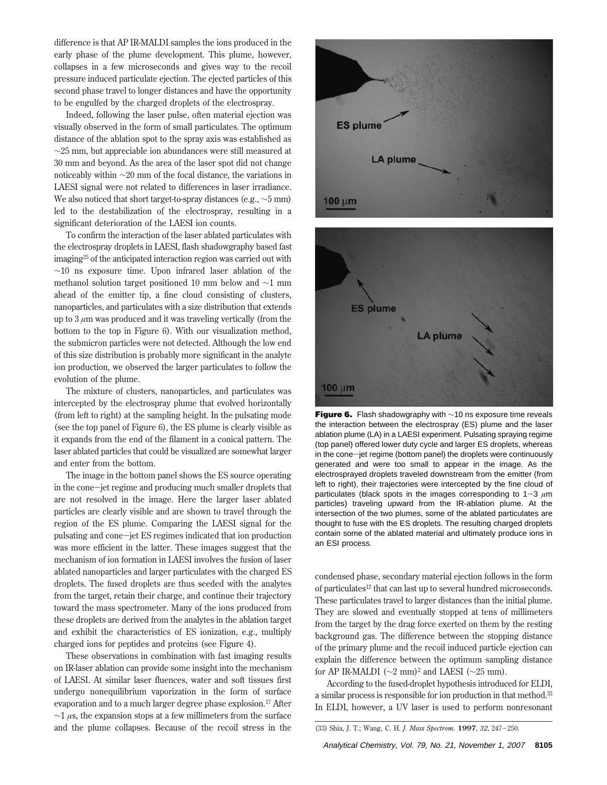difference is that AP IR-MALDI samples the ions produced in the early phase of the plume development. This plume, however, collapses in a few microseconds and gives way to the recoil pressure induced particulate ejection. The ejected particles of this second phase travel to longer distances and have the opportunity to be engulfed by the charged droplets of the electrospray.

Indeed, following the laser pulse, often material ejection was visually observed in the form of small particulates. The optimum distance of the ablation spot to the spray axis was established as  $\sim$ 25 mm, but appreciable ion abundances were still measured at 30 mm and beyond. As the area of the laser spot did not change noticeably within ∼20 mm of the focal distance, the variations in LAESI signal were not related to differences in laser irradiance. We also noticed that short target-to-spray distances (e.g., ∼5 mm) led to the destabilization of the electrospray, resulting in a significant deterioration of the LAESI ion counts.

To confirm the interaction of the laser ablated particulates with the electrospray droplets in LAESI, flash shadowgraphy based fast imaging25 of the anticipated interaction region was carried out with ∼10 ns exposure time. Upon infrared laser ablation of the methanol solution target positioned 10 mm below and ∼1 mm ahead of the emitter tip, a fine cloud consisting of clusters, nanoparticles, and particulates with a size distribution that extends up to  $3 \mu$ m was produced and it was traveling vertically (from the bottom to the top in Figure 6). With our visualization method, the submicron particles were not detected. Although the low end of this size distribution is probably more significant in the analyte ion production, we observed the larger particulates to follow the evolution of the plume.

The mixture of clusters, nanoparticles, and particulates was intercepted by the electrospray plume that evolved horizontally (from left to right) at the sampling height. In the pulsating mode (see the top panel of Figure 6), the ES plume is clearly visible as it expands from the end of the filament in a conical pattern. The laser ablated particles that could be visualized are somewhat larger and enter from the bottom.

The image in the bottom panel shows the ES source operating in the cone-jet regime and producing much smaller droplets that are not resolved in the image. Here the larger laser ablated particles are clearly visible and are shown to travel through the region of the ES plume. Comparing the LAESI signal for the pulsating and cone-jet ES regimes indicated that ion production was more efficient in the latter. These images suggest that the mechanism of ion formation in LAESI involves the fusion of laser ablated nanoparticles and larger particulates with the charged ES droplets. The fused droplets are thus seeded with the analytes from the target, retain their charge, and continue their trajectory toward the mass spectrometer. Many of the ions produced from these droplets are derived from the analytes in the ablation target and exhibit the characteristics of ES ionization, e.g., multiply charged ions for peptides and proteins (see Figure 4).

These observations in combination with fast imaging results on IR-laser ablation can provide some insight into the mechanism of LAESI. At similar laser fluences, water and soft tissues first undergo nonequilibrium vaporization in the form of surface evaporation and to a much larger degree phase explosion.17 After ∼1 *µ*s, the expansion stops at a few millimeters from the surface and the plume collapses. Because of the recoil stress in the



**Figure 6.** Flash shadowgraphy with ∼10 ns exposure time reveals the interaction between the electrospray (ES) plume and the laser ablation plume (LA) in a LAESI experiment. Pulsating spraying regime (top panel) offered lower duty cycle and larger ES droplets, whereas in the cone-jet regime (bottom panel) the droplets were continuously generated and were too small to appear in the image. As the electrosprayed droplets traveled downstream from the emitter (from left to right), their trajectories were intercepted by the fine cloud of particulates (black spots in the images corresponding to 1-<sup>3</sup> *<sup>µ</sup>*<sup>m</sup> particles) traveling upward from the IR-ablation plume. At the intersection of the two plumes, some of the ablated particulates are thought to fuse with the ES droplets. The resulting charged droplets contain some of the ablated material and ultimately produce ions in an ESI process.

condensed phase, secondary material ejection follows in the form of particulates<sup>12</sup> that can last up to several hundred microseconds. These particulates travel to larger distances than the initial plume. They are slowed and eventually stopped at tens of millimeters from the target by the drag force exerted on them by the resting background gas. The difference between the stopping distance of the primary plume and the recoil induced particle ejection can explain the difference between the optimum sampling distance for AP IR-MALDI ( $\sim$ 2 mm)<sup>2</sup> and LAESI ( $\sim$ 25 mm).

According to the fused-droplet hypothesis introduced for ELDI, a similar process is responsible for ion production in that method.<sup>33</sup> In ELDI, however, a UV laser is used to perform nonresonant

```
(33) Shia, J. T.; Wang, C. H. J. Mass Spectrom. 1997, 32, 247-250.
```